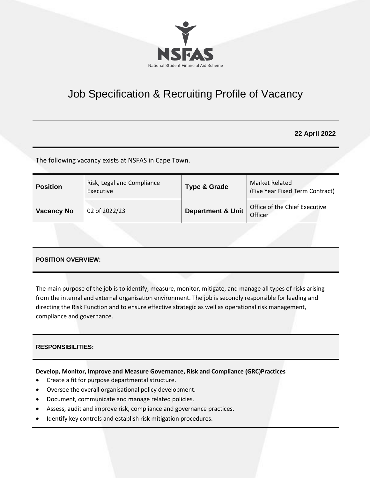

# Job Specification & Recruiting Profile of Vacancy

# **22 April 2022**

The following vacancy exists at NSFAS in Cape Town.

| <b>Position</b>   | Risk, Legal and Compliance<br>Executive | <b>Type &amp; Grade</b>      | Market Related<br>(Five Year Fixed Term Contract) |
|-------------------|-----------------------------------------|------------------------------|---------------------------------------------------|
| <b>Vacancy No</b> | 02 of 2022/23                           | <b>Department &amp; Unit</b> | Office of the Chief Executive<br>Officer          |

## **POSITION OVERVIEW:**

The main purpose of the job is to identify, measure, monitor, mitigate, and manage all types of risks arising from the internal and external organisation environment. The job is secondly responsible for leading and directing the Risk Function and to ensure effective strategic as well as operational risk management, compliance and governance.

## **RESPONSIBILITIES:**

## **Develop, Monitor, Improve and Measure Governance, Risk and Compliance (GRC)Practices**

- Create a fit for purpose departmental structure.
- Oversee the overall organisational policy development.
- Document, communicate and manage related policies.
- Assess, audit and improve risk, compliance and governance practices.
- Identify key controls and establish risk mitigation procedures.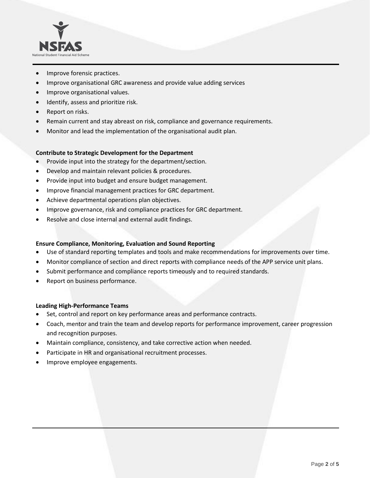

- Improve forensic practices.
- Improve organisational GRC awareness and provide value adding services
- Improve organisational values.
- Identify, assess and prioritize risk.
- Report on risks.
- Remain current and stay abreast on risk, compliance and governance requirements.
- Monitor and lead the implementation of the organisational audit plan.

#### **Contribute to Strategic Development for the Department**

- Provide input into the strategy for the department/section.
- Develop and maintain relevant policies & procedures.
- Provide input into budget and ensure budget management.
- Improve financial management practices for GRC department.
- Achieve departmental operations plan objectives.
- Improve governance, risk and compliance practices for GRC department.
- Resolve and close internal and external audit findings.

#### **Ensure Compliance, Monitoring, Evaluation and Sound Reporting**

- Use of standard reporting templates and tools and make recommendations for improvements over time.
- Monitor compliance of section and direct reports with compliance needs of the APP service unit plans.
- Submit performance and compliance reports timeously and to required standards.
- Report on business performance.

#### **Leading High-Performance Teams**

- Set, control and report on key performance areas and performance contracts.
- Coach, mentor and train the team and develop reports for performance improvement, career progression and recognition purposes.
- Maintain compliance, consistency, and take corrective action when needed.
- Participate in HR and organisational recruitment processes.
- Improve employee engagements.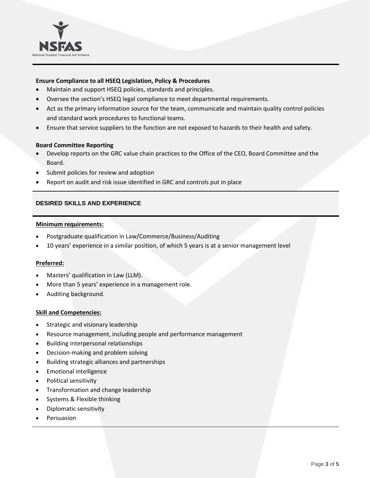

## **Ensure Compliance to all HSEQ Legislation, Policy & Procedures**

- Maintain and support HSEQ policies, standards and principles.
- Oversee the section's HSEQ legal compliance to meet departmental requirements.
- Act as the primary information source for the team, communicate and maintain quality control policies and standard work procedures to functional teams.
- Ensure that service suppliers to the function are not exposed to hazards to their health and safety.

#### **Board Committee Reporting**

- Develop reports on the GRC value chain practices to the Office of the CEO, Board Committee and the Board.
- Submit policies for review and adoption
- Report on audit and risk issue identified in GRC and controls put in place

#### **DESIRED SKILLS AND EXPERIENCE**

#### **Minimum requirements:**

- Postgraduate qualification in Law/Commerce/Business/Auditing
- 10 years' experience in a similar position, of which 5 years is at a senior management level

#### **Preferred:**

- Masters' qualification in Law (LLM).
- More than 5 years' experience in a management role.
- Auditing background.

#### **Skill and Competencies:**

- Strategic and visionary leadership
- Resource management, including people and performance management
- Building interpersonal relationships
- Decision-making and problem solving
- Building strategic alliances and partnerships
- Emotional intelligence
- Political sensitivity
- Transformation and change leadership
- Systems & Flexible thinking
- Diplomatic sensitivity
- **Persuasion**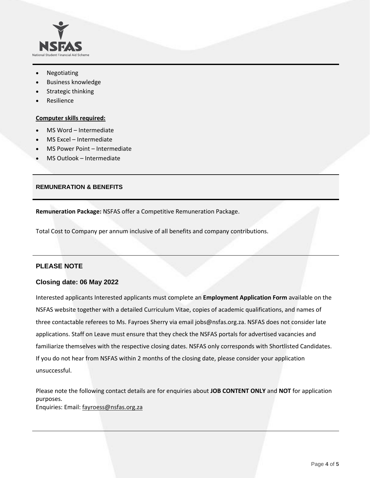

- Negotiating
- Business knowledge
- Strategic thinking
- **Resilience**

#### **Computer skills required:**

- MS Word Intermediate
- MS Excel Intermediate
- MS Power Point Intermediate
- MS Outlook Intermediate

## **REMUNERATION & BENEFITS**

**Remuneration Package:** NSFAS offer a Competitive Remuneration Package.

Total Cost to Company per annum inclusive of all benefits and company contributions.

## **PLEASE NOTE**

## **Closing date: 06 May 2022**

Interested applicants Interested applicants must complete an **Employment Application Form** available on the NSFAS website together with a detailed Curriculum Vitae, copies of academic qualifications, and names of three contactable referees to Ms. Fayroes Sherry via emai[l jobs@nsfas.org.za.](mailto:jobs@nsfas.org.za) NSFAS does not consider late applications. Staff on Leave must ensure that they check the NSFAS portals for advertised vacancies and familiarize themselves with the respective closing dates. NSFAS only corresponds with Shortlisted Candidates. If you do not hear from NSFAS within 2 months of the closing date, please consider your application unsuccessful.

Please note the following contact details are for enquiries about **JOB CONTENT ONLY** and **NOT** for application purposes. Enquiries: Email: [fayroess@nsfas.org.za](mailto:fayroess@nsfas.org.za)